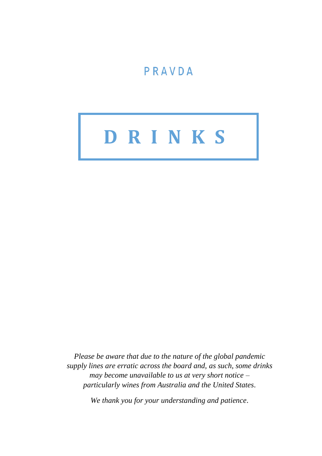# PRAVDA

# **D R I N K S**

*Please be aware that due to the nature of the global pandemic supply lines are erratic across the board and, as such, some drinks may become unavailable to us at very short notice – particularly wines from Australia and the United States.*

*We thank you for your understanding and patience.*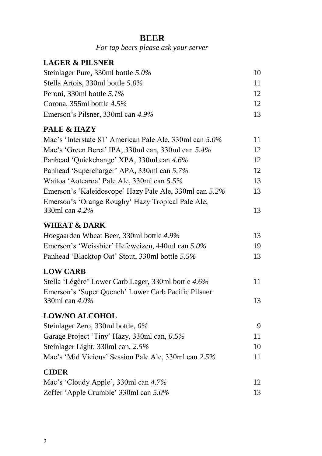#### **BEER**

*For tap beers please ask your server*

#### **LAGER & PILSNER**

| Steinlager Pure, 330ml bottle 5.0% | 10              |
|------------------------------------|-----------------|
| Stella Artois, 330ml bottle 5.0%   | 11              |
| Peroni. 330ml bottle $5.1\%$       | 12.             |
| Corona, $355$ ml bottle $4.5\%$    | 12 <sup>°</sup> |
| Emerson's Pilsner, 330ml can 4.9%  | 13 <sup>2</sup> |

#### **PALE & HAZY**

| Mac's 'Interstate 81' American Pale Ale, 330ml can 5.0% | 11 |
|---------------------------------------------------------|----|
| Mac's 'Green Beret' IPA, 330ml can, 330ml can 5.4%      | 12 |
| Panhead 'Quickchange' XPA, 330ml can 4.6%               | 12 |
| Panhead 'Supercharger' APA, 330ml can 5.7%              | 12 |
| Waitoa 'Aotearoa' Pale Ale, 330ml can 5.5%              | 13 |
| Emerson's 'Kaleidoscope' Hazy Pale Ale, 330ml can 5.2%  | 13 |
| Emerson's 'Orange Roughy' Hazy Tropical Pale Ale,       |    |
| 330ml can 4.2%                                          | 13 |

#### **WHEAT & DARK**

| Hoegaarden Wheat Beer, 330ml bottle 4.9%         | 13 |
|--------------------------------------------------|----|
| Emerson's 'Weissbier' Hefeweizen, 440ml can 5.0% | 19 |
| Panhead 'Blacktop Oat' Stout, 330ml bottle 5.5%  | 13 |

#### **LOW CARB**

| Stella 'Légère' Lower Carb Lager, 330ml bottle 4.6% | 11 |
|-----------------------------------------------------|----|
| Emerson's 'Super Quench' Lower Carb Pacific Pilsner |    |
| 330ml can $4.0\%$                                   | 13 |

#### **LOW/NO ALCOHOL**

| Steinlager Zero, 330ml bottle, $0\%$                 |    |
|------------------------------------------------------|----|
| Garage Project 'Tiny' Hazy, 330ml can, 0.5%          | 11 |
| Steinlager Light, $330$ ml can, $2.5\%$              | 10 |
| Mac's 'Mid Vicious' Session Pale Ale, 330ml can 2.5% | 11 |
|                                                      |    |

#### **CIDER**

| Mac's 'Cloudy Apple', 330ml can 4.7%  |    |
|---------------------------------------|----|
| Zeffer 'Apple Crumble' 330ml can 5.0% | 13 |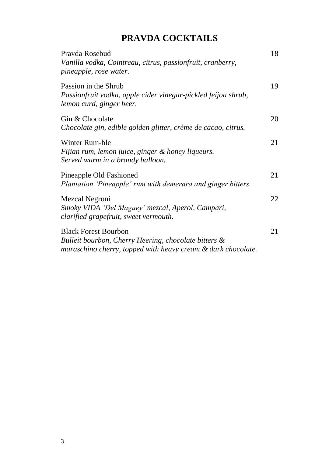# **PRAVDA COCKTAILS**

| Pravda Rosebud<br>Vanilla vodka, Cointreau, citrus, passionfruit, cranberry,<br>pineapple, rose water.                                              | 18 |
|-----------------------------------------------------------------------------------------------------------------------------------------------------|----|
| Passion in the Shrub<br>Passionfruit vodka, apple cider vinegar-pickled feijoa shrub,<br>lemon curd, ginger beer.                                   | 19 |
| Gin & Chocolate<br>Chocolate gin, edible golden glitter, crème de cacao, citrus.                                                                    | 20 |
| Winter Rum-ble<br>Fijian rum, lemon juice, ginger & honey liqueurs.<br>Served warm in a brandy balloon.                                             | 21 |
| Pineapple Old Fashioned<br>Plantation 'Pineapple' rum with demerara and ginger bitters.                                                             | 21 |
| Mezcal Negroni<br>Smoky VIDA 'Del Maguey' mezcal, Aperol, Campari,<br>clarified grapefruit, sweet vermouth.                                         | 22 |
| <b>Black Forest Bourbon</b><br>Bulleit bourbon, Cherry Heering, chocolate bitters &<br>maraschino cherry, topped with heavy cream & dark chocolate. | 21 |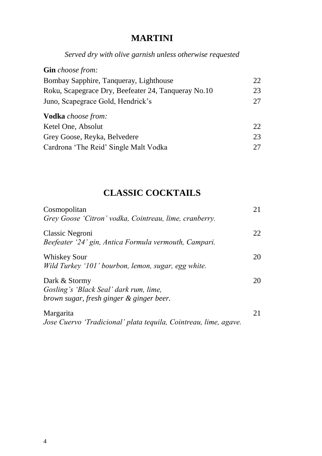## **MARTINI**

*Served dry with olive garnish unless otherwise requested*

| <b>Gin</b> choose from:                             |    |
|-----------------------------------------------------|----|
| Bombay Sapphire, Tanqueray, Lighthouse              | 22 |
| Roku, Scapegrace Dry, Beefeater 24, Tanqueray No.10 | 23 |
| Juno, Scapegrace Gold, Hendrick's                   | 27 |
| <b>Vodka</b> choose from:                           |    |
| Ketel One, Absolut                                  | 22 |
| Grey Goose, Reyka, Belvedere                        | 23 |
| Cardrona 'The Reid' Single Malt Vodka               |    |

# **CLASSIC COCKTAILS**

| Cosmopolitan<br>Grey Goose 'Citron' vodka, Cointreau, lime, cranberry.                              | 21 |
|-----------------------------------------------------------------------------------------------------|----|
| Classic Negroni<br>Beefeater '24' gin, Antica Formula vermouth, Campari.                            | 22 |
| <b>Whiskey Sour</b><br>Wild Turkey '101' bourbon, lemon, sugar, egg white.                          | 20 |
| Dark & Stormy<br>Gosling's 'Black Seal' dark rum, lime,<br>brown sugar, fresh ginger & ginger beer. | 20 |
| <b>Margarita</b><br>Jose Cuervo 'Tradicional' plata tequila, Cointreau, lime, agave.                | 21 |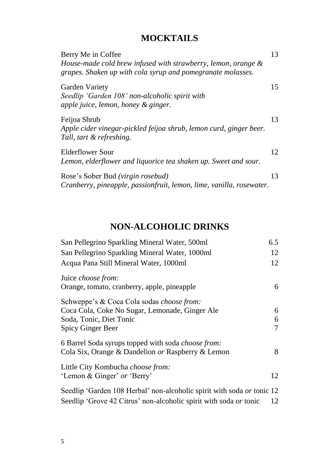# **MOCKTAILS**

| Berry Me in Coffee<br>House-made cold brew infused with strawberry, lemon, orange &<br>grapes. Shaken up with cola syrup and pomegranate molasses. | 13 |
|----------------------------------------------------------------------------------------------------------------------------------------------------|----|
| Garden Variety<br>Seedlip 'Garden 108' non-alcoholic spirit with<br>apple juice, lemon, honey & ginger.                                            | 15 |
| Feijoa Shrub<br>Apple cider vinegar-pickled feijoa shrub, lemon curd, ginger beer.<br>Tall, tart & refreshing.                                     | 13 |
| Elderflower Sour<br>Lemon, elderflower and liquorice tea shaken up. Sweet and sour.                                                                | 12 |
| Rose's Sober Bud (virgin rosebud)<br>Cranberry, pineapple, passionfruit, lemon, lime, vanilla, rosewater.                                          | 13 |

#### **NON-ALCOHOLIC DRINKS**

| San Pellegrino Sparkling Mineral Water, 500ml                           | 6.5 |
|-------------------------------------------------------------------------|-----|
| San Pellegrino Sparkling Mineral Water, 1000ml                          | 12  |
| Acqua Pana Still Mineral Water, 1000ml                                  | 12  |
| Juice choose from:<br>Orange, tomato, cranberry, apple, pineapple       | 6   |
| Schweppe's & Coca Cola sodas <i>choose from:</i>                        |     |
| Coca Cola, Coke No Sugar, Lemonade, Ginger Ale                          | 6   |
| Soda, Tonic, Diet Tonic                                                 | 6   |
| Spicy Ginger Beer                                                       | 7   |
| 6 Barrel Soda syrups topped with soda choose from:                      |     |
| Cola Six, Orange & Dandelion or Raspberry & Lemon                       | 8   |
| Little City Kombucha <i>choose from:</i><br>'Lemon & Ginger' or 'Berry' | 12  |
| Seedlip 'Garden 108 Herbal' non-alcoholic spirit with soda or tonic 12  |     |
| Seedlip 'Grove 42 Citrus' non-alcoholic spirit with soda or tonic       | 12  |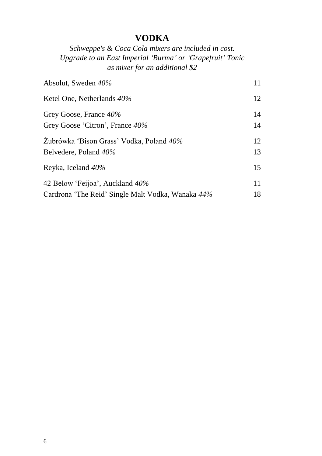# **VODKA**

*Schweppe's & Coca Cola mixers are included in cost. Upgrade to an East Imperial 'Burma' or 'Grapefruit' Tonic as mixer for an additional \$2*

| Absolut, Sweden 40%                               | 11 |
|---------------------------------------------------|----|
| Ketel One, Netherlands 40%                        | 12 |
| Grey Goose, France 40%                            | 14 |
| Grey Goose 'Citron', France 40%                   | 14 |
| Zubrówka 'Bison Grass' Vodka, Poland 40%          | 12 |
| Belvedere, Poland 40%                             | 13 |
| Reyka, Iceland 40%                                | 15 |
| 42 Below 'Feijoa', Auckland 40%                   | 11 |
| Cardrona 'The Reid' Single Malt Vodka, Wanaka 44% | 18 |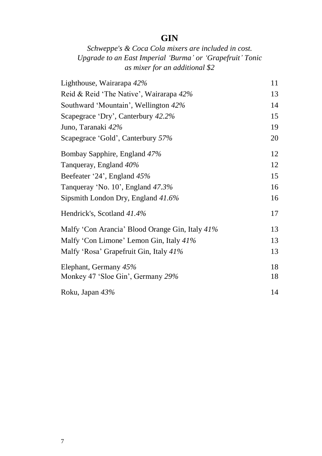## **GIN**

#### *Schweppe's & Coca Cola mixers are included in cost. Upgrade to an East Imperial 'Burma' or 'Grapefruit' Tonic as mixer for an additional \$2*

| Lighthouse, Wairarapa 42%                       | 11 |
|-------------------------------------------------|----|
| Reid & Reid 'The Native', Wairarapa 42%         | 13 |
| Southward 'Mountain', Wellington 42%            | 14 |
| Scapegrace 'Dry', Canterbury 42.2%              | 15 |
| Juno, Taranaki 42%                              | 19 |
| Scapegrace 'Gold', Canterbury 57%               | 20 |
| Bombay Sapphire, England 47%                    | 12 |
| Tanqueray, England 40%                          | 12 |
| Beefeater '24', England 45%                     | 15 |
| Tanqueray 'No. 10', England 47.3%               | 16 |
| Sipsmith London Dry, England 41.6%              | 16 |
| Hendrick's, Scotland 41.4%                      | 17 |
| Malfy 'Con Arancia' Blood Orange Gin, Italy 41% | 13 |
| Malfy 'Con Limone' Lemon Gin, Italy 41%         | 13 |
| Malfy 'Rosa' Grapefruit Gin, Italy 41%          | 13 |
| Elephant, Germany 45%                           | 18 |
| Monkey 47 'Sloe Gin', Germany 29%               | 18 |
| Roku, Japan 43%                                 | 14 |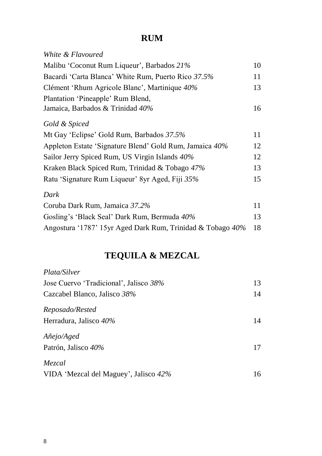# **RUM**

| White & Flavoured                                          |    |
|------------------------------------------------------------|----|
| Malibu 'Coconut Rum Liqueur', Barbados 21%                 | 10 |
| Bacardi 'Carta Blanca' White Rum, Puerto Rico 37.5%        | 11 |
| Clément 'Rhum Agricole Blanc', Martinique 40%              | 13 |
| Plantation 'Pineapple' Rum Blend,                          |    |
| Jamaica, Barbados & Trinidad 40%                           | 16 |
| Gold & Spiced                                              |    |
| Mt Gay 'Eclipse' Gold Rum, Barbados 37.5%                  | 11 |
| Appleton Estate 'Signature Blend' Gold Rum, Jamaica 40%    | 12 |
| Sailor Jerry Spiced Rum, US Virgin Islands 40%             | 12 |
| Kraken Black Spiced Rum, Trinidad & Tobago 47%             | 13 |
| Ratu 'Signature Rum Liqueur' 8yr Aged, Fiji 35%            | 15 |
| Dark                                                       |    |
| Coruba Dark Rum, Jamaica 37.2%                             | 11 |
| Gosling's 'Black Seal' Dark Rum, Bermuda 40%               | 13 |
| Angostura '1787' 15yr Aged Dark Rum, Trinidad & Tobago 40% | 18 |

# **TEQUILA & MEZCAL**

| <i>Plata/Silver</i>                    |    |
|----------------------------------------|----|
| Jose Cuervo 'Tradicional', Jalisco 38% | 13 |
| Cazcabel Blanco, Jalisco 38%           | 14 |
| Reposado/Rested                        |    |
| Herradura, Jalisco 40%                 | 14 |
| Añejo/Aged                             |    |
| Patrón, Jalisco 40%                    | 17 |
| Mezcal                                 |    |
| VIDA 'Mezcal del Maguey', Jalisco 42%  | 16 |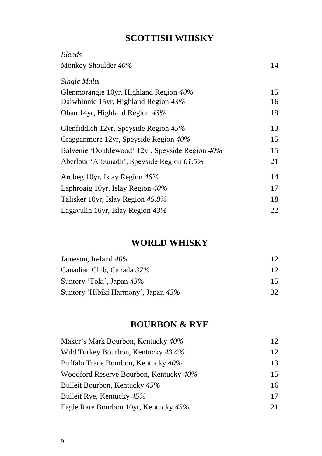# **SCOTTISH WHISKY**

| <b>Blends</b>                                   |    |
|-------------------------------------------------|----|
| Monkey Shoulder 40%                             | 14 |
| Single Malts                                    |    |
| Glenmorangie 10yr, Highland Region 40%          | 15 |
| Dalwhinnie 15yr, Highland Region 43%            | 16 |
| Oban 14yr, Highland Region 43%                  | 19 |
| Glenfiddich 12yr, Speyside Region 45%           | 13 |
| Cragganmore 12yr, Speyside Region 40%           | 15 |
| Balvenie 'Doublewood' 12yr, Speyside Region 40% | 15 |
| Aberlour 'A'bunadh', Speyside Region 61.5%      | 21 |
| Ardbeg 10yr, Islay Region 46%                   | 14 |
| Laphroaig 10yr, Islay Region 40%                | 17 |
| Talisker 10yr, Islay Region 45.8%               | 18 |
| Lagavulin 16yr, Islay Region 43%                | 22 |

#### **WORLD WHISKY**

| Jameson, Ireland $40\%$             | 12 |
|-------------------------------------|----|
| Canadian Club, Canada 37%           | 12 |
| Suntory 'Toki', Japan 43%           | 15 |
| Suntory 'Hibiki Harmony', Japan 43% | 32 |

## **BOURBON & RYE**

| Maker's Mark Bourbon, Kentucky 40%     | 12 |
|----------------------------------------|----|
| Wild Turkey Bourbon, Kentucky 43.4%    | 12 |
| Buffalo Trace Bourbon, Kentucky 40%    | 13 |
| Woodford Reserve Bourbon, Kentucky 40% | 15 |
| Bulleit Bourbon, Kentucky 45%          | 16 |
| Bulleit Rye, Kentucky 45%              | 17 |
| Eagle Rare Bourbon 10yr, Kentucky 45%  | 21 |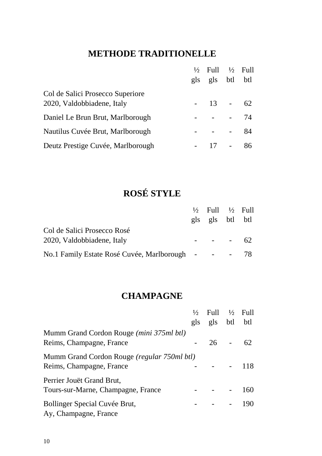# **METHODE TRADITIONELLE**

|                                   | $\frac{1}{2}$ Full $\frac{1}{2}$ Full |        |    |
|-----------------------------------|---------------------------------------|--------|----|
|                                   | gls gls btl btl                       |        |    |
| Col de Salici Prosecco Superiore  |                                       |        |    |
| 2020, Valdobbiadene, Italy        | $-13 - 62$                            |        |    |
| Daniel Le Brun Brut, Marlborough  |                                       |        | 74 |
| Nautilus Cuvée Brut, Marlborough  |                                       |        | 84 |
| Deutz Prestige Cuvée, Marlborough | 17                                    | $\sim$ | 86 |

# **ROSÉ STYLE**

|                                                     | $\frac{1}{2}$ Full $\frac{1}{2}$ Full |  |
|-----------------------------------------------------|---------------------------------------|--|
|                                                     | gls gls btl btl                       |  |
| Col de Salici Prosecco Rosé                         |                                       |  |
| 2020, Valdobbiadene, Italy                          | $- - - 62$                            |  |
| No.1 Family Estate Rosé Cuvée, Marlborough - - - 78 |                                       |  |

# **CHAMPAGNE**

|                                                                               |     | $\frac{1}{2}$ Full $\frac{1}{2}$ Full |     |
|-------------------------------------------------------------------------------|-----|---------------------------------------|-----|
|                                                                               | gls | gls btl btl                           |     |
| Mumm Grand Cordon Rouge ( <i>mini 375ml btl</i> )<br>Reims, Champagne, France |     | $26 -$                                | 62  |
| Mumm Grand Cordon Rouge (regular 750ml btl)<br>Reims, Champagne, France       |     |                                       | 118 |
| Perrier Jouët Grand Brut,<br>Tours-sur-Marne, Champagne, France               |     |                                       | 160 |
| Bollinger Special Cuvée Brut,<br>Ay, Champagne, France                        |     |                                       | 190 |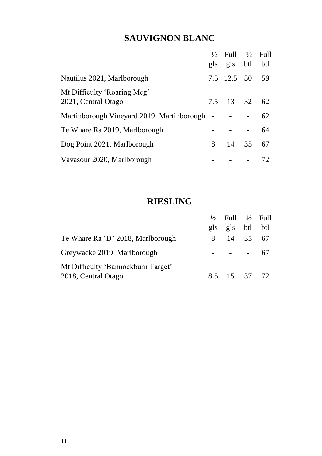# **SAUVIGNON BLANC**

|                                                    |   | $\frac{1}{2}$ Full $\frac{1}{2}$ Full<br>gls gls btl btl |          |    |
|----------------------------------------------------|---|----------------------------------------------------------|----------|----|
| Nautilus 2021, Marlborough                         |   | 7.5 12.5 30 59                                           |          |    |
| Mt Difficulty 'Roaring Meg'<br>2021, Central Otago |   | 7.5 13 32 62                                             |          |    |
| Martinborough Vineyard 2019, Martinborough -       |   |                                                          |          | 62 |
| Te Whare Ra 2019, Marlborough                      |   |                                                          |          | 64 |
| Dog Point 2021, Marlborough                        | 8 |                                                          | 14 35 67 |    |
| Vavasour 2020, Marlborough                         |   |                                                          |          | 72 |

#### **RIESLING**

|                                                           | $\frac{1}{2}$ Full $\frac{1}{2}$ Full<br>gls gls btl btl |  |
|-----------------------------------------------------------|----------------------------------------------------------|--|
| Te Whare Ra 'D' 2018, Marlborough                         | 8 14 35 67                                               |  |
| Greywacke 2019, Marlborough                               | $- - - - 67$                                             |  |
| Mt Difficulty 'Bannockburn Target'<br>2018, Central Otago | 8.5 15 37 72                                             |  |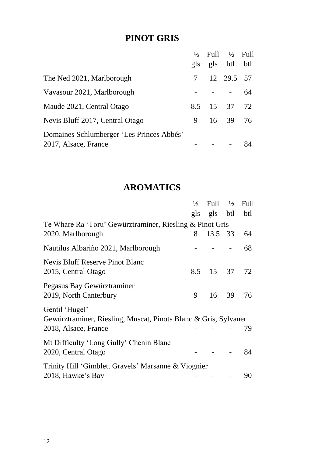# **PINOT GRIS**

|                                           |   | $\frac{1}{2}$ Full $\frac{1}{2}$ Full |          |    |
|-------------------------------------------|---|---------------------------------------|----------|----|
|                                           |   | gls gls btl btl                       |          |    |
| The Ned 2021, Marlborough                 |   | 7 12 29.5 57                          |          |    |
| Vavasour 2021, Marlborough                |   |                                       |          | 64 |
| Maude 2021, Central Otago                 |   | 8.5 15 37 72                          |          |    |
| Nevis Bluff 2017, Central Otago           | 9 |                                       | 16 39 76 |    |
| Domaines Schlumberger 'Les Princes Abbés' |   |                                       |          |    |
| 2017, Alsace, France                      |   |                                       |          | 84 |

#### **AROMATICS**

|                                                                 | $\frac{1}{2}$ | Full $\frac{1}{2}$ |       | Full |
|-----------------------------------------------------------------|---------------|--------------------|-------|------|
|                                                                 |               | gls gls btl        |       | btl  |
| Te Whare Ra 'Toru' Gewürztraminer, Riesling & Pinot Gris        |               |                    |       |      |
| 2020, Marlborough                                               | 8             | 13.5 33            |       | 64   |
| Nautilus Albariño 2021, Marlborough                             |               |                    |       | 68   |
| Nevis Bluff Reserve Pinot Blanc                                 |               |                    |       |      |
| 2015, Central Otago                                             | 8.5           | 15 37              |       | 72   |
| Pegasus Bay Gewürztraminer                                      |               |                    |       |      |
| 2019, North Canterbury                                          | 9             |                    | 16 39 | 76   |
| Gentil 'Hugel'                                                  |               |                    |       |      |
| Gewürztraminer, Riesling, Muscat, Pinots Blanc & Gris, Sylvaner |               |                    |       |      |
| 2018, Alsace, France                                            |               |                    |       | 79   |
| Mt Difficulty 'Long Gully' Chenin Blanc                         |               |                    |       |      |
| 2020, Central Otago                                             |               |                    |       | 84   |
| Trinity Hill 'Gimblett Gravels' Marsanne & Viognier             |               |                    |       |      |
| 2018, Hawke's Bay                                               |               |                    |       | 90   |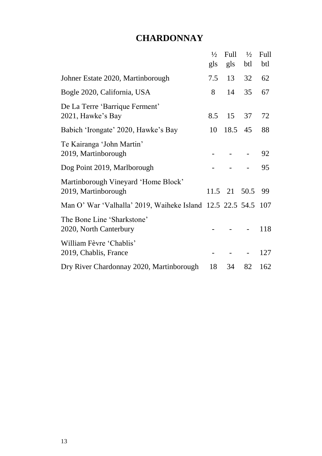#### **CHARDONNAY**

|                                                               | $\frac{1}{2}$ | Full         | $\frac{1}{2}$ | Full |
|---------------------------------------------------------------|---------------|--------------|---------------|------|
|                                                               | gls           | gls          | btl           | btl  |
| Johner Estate 2020, Martinborough                             | 7.5           | 13           | 32            | 62   |
| Bogle 2020, California, USA                                   | 8             | 14           | 35            | 67   |
| De La Terre 'Barrique Ferment'<br>2021, Hawke's Bay           | 8.5           | 15           | 37            | 72   |
| Babich 'Irongate' 2020, Hawke's Bay                           | 10            | 18.5         | 45            | 88   |
| Te Kairanga 'John Martin'<br>2019, Martinborough              |               |              |               | 92   |
| Dog Point 2019, Marlborough                                   |               |              |               | 95   |
| Martinborough Vineyard 'Home Block'<br>2019, Martinborough    |               | 11.5 21 50.5 |               | 99   |
| Man O' War 'Valhalla' 2019, Waiheke Island 12.5 22.5 54.5 107 |               |              |               |      |
| The Bone Line 'Sharkstone'<br>2020, North Canterbury          |               |              |               | 118  |
| William Fèvre 'Chablis'<br>2019, Chablis, France              |               |              |               | 127  |
| Dry River Chardonnay 2020, Martinborough                      | 18            | 34           | 82            | 162  |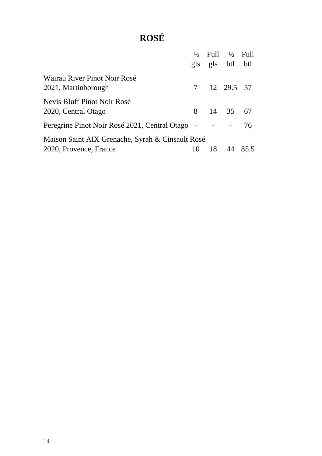# **ROSÉ**

|                                                     |    | $\frac{1}{2}$ Full $\frac{1}{2}$ Full |    |      |
|-----------------------------------------------------|----|---------------------------------------|----|------|
|                                                     |    | gls gls btl btl                       |    |      |
| Wairau River Pinot Noir Rosé<br>2021, Martinborough |    | 7 12 29.5 57                          |    |      |
| Nevis Bluff Pinot Noir Rosé<br>2020, Central Otago  | 8. | 14 35 67                              |    |      |
| Peregrine Pinot Noir Rosé 2021, Central Otago -     |    |                                       |    | 76.  |
| Maison Saint AIX Grenache, Syrah & Cinsault Rosé    |    |                                       |    |      |
| 2020, Provence, France                              | 10 | 18                                    | 44 | 85.5 |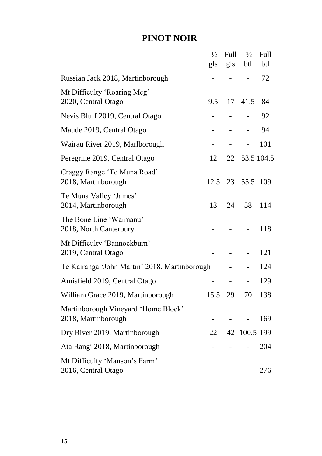### **PINOT NOIR**

|                                                            | $\frac{1}{2}$            | Full                         | $\frac{1}{2}$  | Full |
|------------------------------------------------------------|--------------------------|------------------------------|----------------|------|
|                                                            | gls                      | gls                          | btl            | btl  |
| Russian Jack 2018, Martinborough                           |                          |                              |                | 72   |
| Mt Difficulty 'Roaring Meg'<br>2020, Central Otago         | 9.5                      | 17                           | 41.5           | 84   |
| Nevis Bluff 2019, Central Otago                            |                          |                              |                | 92   |
| Maude 2019, Central Otago                                  |                          |                              |                | 94   |
| Wairau River 2019, Marlborough                             | -                        | $\qquad \qquad \blacksquare$ | -              | 101  |
| Peregrine 2019, Central Otago                              | 12                       |                              | 22 53.5 104.5  |      |
| Craggy Range 'Te Muna Road'<br>2018, Martinborough         | 12.5                     | 23                           | 55.5           | 109  |
| Te Muna Valley 'James'<br>2014, Martinborough              | 13                       | 24                           | 58             | 114  |
| The Bone Line 'Waimanu'<br>2018, North Canterbury          |                          |                              | $\overline{a}$ | 118  |
| Mt Difficulty 'Bannockburn'<br>2019, Central Otago         |                          |                              |                | 121  |
| Te Kairanga 'John Martin' 2018, Martinborough              |                          |                              |                | 124  |
| Amisfield 2019, Central Otago                              | $\overline{\phantom{0}}$ | $\overline{\phantom{0}}$     |                | 129  |
| William Grace 2019, Martinborough                          | 15.5                     | 29                           | 70             | 138  |
| Martinborough Vineyard 'Home Block'<br>2018, Martinborough |                          |                              |                | 169  |
| Dry River 2019, Martinborough                              | 22                       |                              | 42 100.5 199   |      |
| Ata Rangi 2018, Martinborough                              |                          |                              |                | 204  |
| Mt Difficulty 'Manson's Farm'<br>2016, Central Otago       |                          |                              |                | 276  |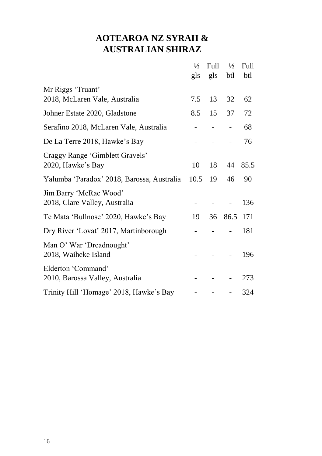# **AOTEAROA NZ SYRAH & AUSTRALIAN SHIRAZ**

|                                            | $\frac{1}{2}$ | Full | $\frac{1}{2}$ | Full |
|--------------------------------------------|---------------|------|---------------|------|
|                                            | gls           | gls  | btl           | btl  |
| Mr Riggs 'Truant'                          |               |      |               |      |
| 2018, McLaren Vale, Australia              | 7.5           | 13   | 32            | 62   |
| Johner Estate 2020, Gladstone              | 8.5           | 15   | 37            | 72   |
| Serafino 2018, McLaren Vale, Australia     |               |      |               | 68   |
| De La Terre 2018, Hawke's Bay              |               |      |               | 76   |
| Craggy Range 'Gimblett Gravels'            |               |      |               |      |
| 2020, Hawke's Bay                          | 10            | 18   | 44            | 85.5 |
| Yalumba 'Paradox' 2018, Barossa, Australia | 10.5          | 19   | 46            | 90   |
| Jim Barry 'McRae Wood'                     |               |      |               |      |
| 2018, Clare Valley, Australia              |               |      |               | 136  |
| Te Mata 'Bullnose' 2020, Hawke's Bay       | 19            | 36   | 86.5 171      |      |
| Dry River 'Lovat' 2017, Martinborough      |               |      |               | 181  |
| Man O' War 'Dreadnought'                   |               |      |               |      |
| 2018, Waiheke Island                       |               |      |               | 196  |
| Elderton 'Command'                         |               |      |               |      |
| 2010, Barossa Valley, Australia            |               |      |               | 273  |
| Trinity Hill 'Homage' 2018, Hawke's Bay    |               |      |               | 324  |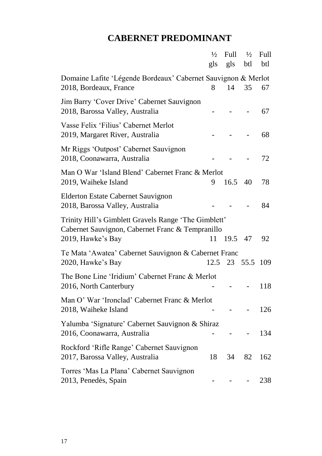# **CABERNET PREDOMINANT**

|                                                               | $\frac{1}{2}$ | Full    | $\frac{1}{2}$ | Full |
|---------------------------------------------------------------|---------------|---------|---------------|------|
|                                                               | gls           | gls     | btl           | btl  |
| Domaine Lafite 'Légende Bordeaux' Cabernet Sauvignon & Merlot |               |         |               |      |
| 2018, Bordeaux, France                                        | 8             | 14      | 35            | 67   |
| Jim Barry 'Cover Drive' Cabernet Sauvignon                    |               |         |               |      |
| 2018, Barossa Valley, Australia                               |               |         |               | 67   |
| Vasse Felix 'Filius' Cabernet Merlot                          |               |         |               | 68   |
| 2019, Margaret River, Australia                               |               |         |               |      |
| Mr Riggs 'Outpost' Cabernet Sauvignon                         |               |         |               |      |
| 2018, Coonawarra, Australia                                   |               |         |               | 72   |
| Man O War 'Island Blend' Cabernet Franc & Merlot              |               |         |               |      |
| 2019, Waiheke Island                                          | 9             | 16.5    | 40            | 78   |
| Elderton Estate Cabernet Sauvignon                            |               |         |               |      |
| 2018, Barossa Valley, Australia                               |               |         |               | 84   |
| Trinity Hill's Gimblett Gravels Range 'The Gimblett'          |               |         |               |      |
| Cabernet Sauvignon, Cabernet Franc & Tempranillo              |               |         |               |      |
| 2019, Hawke's Bay                                             | 11            | 19.5    | 47            | 92   |
| Te Mata 'Awatea' Cabernet Sauvignon & Cabernet Franc          |               |         |               |      |
| 2020, Hawke's Bay                                             |               | 12.5 23 | 55.5          | 109  |
| The Bone Line 'Iridium' Cabernet Franc & Merlot               |               |         |               |      |
| 2016, North Canterbury                                        |               |         |               | 118  |
| Man O' War 'Ironclad' Cabernet Franc & Merlot                 |               |         |               |      |
| 2018, Waiheke Island                                          |               |         |               | 126  |
| Yalumba 'Signature' Cabernet Sauvignon & Shiraz               |               |         |               |      |
| 2016, Coonawarra, Australia                                   |               |         |               | 134  |
| Rockford 'Rifle Range' Cabernet Sauvignon                     |               |         |               |      |
| 2017, Barossa Valley, Australia                               | 18            | 34      | 82            | 162  |
| Torres 'Mas La Plana' Cabernet Sauvignon                      |               |         |               |      |
| 2013, Penedès, Spain                                          |               |         |               | 238  |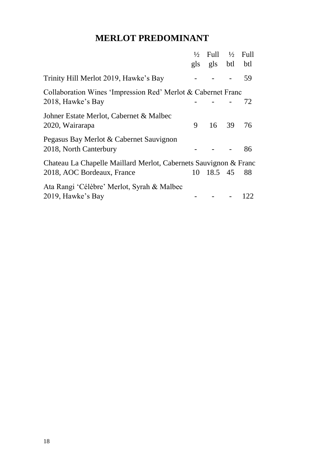## **MERLOT PREDOMINANT**

|                                                                  | $\frac{1}{2}$<br>gls | Full<br>gls btl | $\frac{1}{2}$ | Full<br>btl |
|------------------------------------------------------------------|----------------------|-----------------|---------------|-------------|
| Trinity Hill Merlot 2019, Hawke's Bay                            |                      |                 |               | 59          |
| Collaboration Wines 'Impression Red' Merlot & Cabernet Franc     |                      |                 |               |             |
| 2018, Hawke's Bay                                                |                      |                 |               | 72          |
| Johner Estate Merlot, Cabernet & Malbec                          |                      |                 |               |             |
| 2020, Wairarapa                                                  | 9                    | 16 39           |               | 76          |
| Pegasus Bay Merlot & Cabernet Sauvignon                          |                      |                 |               |             |
| 2018, North Canterbury                                           |                      |                 |               | 86          |
| Chateau La Chapelle Maillard Merlot, Cabernets Sauvignon & Franc |                      |                 |               |             |
| 2018, AOC Bordeaux, France                                       |                      | 10 18.5 45      |               | 88          |
| Ata Rangi 'Célèbre' Merlot, Syrah & Malbec                       |                      |                 |               |             |
| 2019, Hawke's Bay                                                |                      |                 |               | 122         |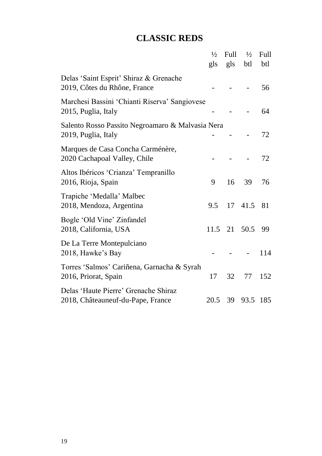# **CLASSIC REDS**

|                                                                           | $\frac{1}{2}$ | Full            | $\frac{1}{2}$ | Full |
|---------------------------------------------------------------------------|---------------|-----------------|---------------|------|
|                                                                           | gls           | gls             | btl           | btl  |
| Delas 'Saint Esprit' Shiraz & Grenache<br>2019, Côtes du Rhône, France    |               |                 |               | 56   |
| Marchesi Bassini 'Chianti Riserva' Sangiovese<br>2015, Puglia, Italy      |               |                 |               | 64   |
| Salento Rosso Passito Negroamaro & Malvasia Nera<br>2019, Puglia, Italy   |               |                 |               | 72   |
| Marques de Casa Concha Carménère,<br>2020 Cachapoal Valley, Chile         |               |                 |               | 72   |
| Altos Ibéricos 'Crianza' Tempranillo<br>2016, Rioja, Spain                | 9             | 16              | 39            | 76   |
| Trapiche 'Medalla' Malbec<br>2018, Mendoza, Argentina                     | 9.5           | 17 <sup>7</sup> | 41.5          | 81   |
| Bogle 'Old Vine' Zinfandel<br>2018, California, USA                       | 11.5          |                 | 21 50.5       | 99   |
| De La Terre Montepulciano<br>2018, Hawke's Bay                            |               |                 |               | 114  |
| Torres 'Salmos' Cariñena, Garnacha & Syrah<br>2016, Priorat, Spain        | 17            | 32              | 77            | 152  |
| Delas 'Haute Pierre' Grenache Shiraz<br>2018, Châteauneuf-du-Pape, France | 20.5          | 39              | 93.5 185      |      |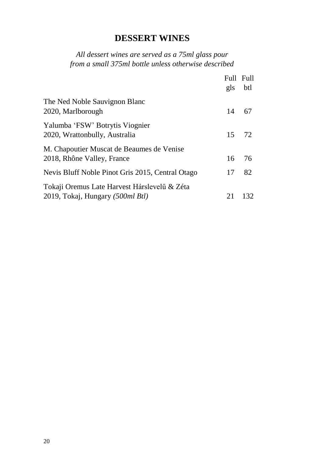## **DESSERT WINES**

#### *All dessert wines are served as a 75ml glass pour from a small 375ml bottle unless otherwise described*

|                                                                                  | Full Full<br>gls | btl   |
|----------------------------------------------------------------------------------|------------------|-------|
| The Ned Noble Sauvignon Blanc<br>2020, Marlborough                               | 14               | 67    |
| Yalumba 'FSW' Botrytis Viognier<br>2020, Wrattonbully, Australia                 |                  | 15 72 |
| M. Chapoutier Muscat de Beaumes de Venise<br>2018, Rhône Valley, France          | 16               | 76    |
| Nevis Bluff Noble Pinot Gris 2015, Central Otago                                 | 17               | 82    |
| Tokaji Oremus Late Harvest Hárslevelű & Zéta<br>2019, Tokaj, Hungary (500ml Btl) | 21               | 132   |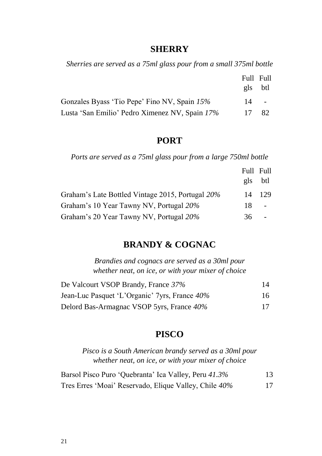#### **SHERRY**

*Sherries are served as a 75ml glass pour from a small 375ml bottle*

|                                                | Full Full |          |
|------------------------------------------------|-----------|----------|
|                                                | g S       | btl      |
| Gonzales Byass 'Tio Pepe' Fino NV, Spain 15%   |           | $14 - 1$ |
| Lusta 'San Emilio' Pedro Ximenez NV, Spain 17% | 17        | -82.     |

#### **PORT**

*Ports are served as a 75ml glass pour from a large 750ml bottle*

|                                                  | Full Full |     |
|--------------------------------------------------|-----------|-----|
|                                                  | g S       | btl |
| Graham's Late Bottled Vintage 2015, Portugal 20% | 14        | 129 |
| Graham's 10 Year Tawny NV, Portugal 20%          | 18.       |     |
| Graham's 20 Year Tawny NV, Portugal 20%          | 36.       |     |

#### **BRANDY & COGNAC**

*Brandies and cognacs are served as a 30ml pour whether neat, on ice, or with your mixer of choice*

| De Valcourt VSOP Brandy, France 37%           | 14 |
|-----------------------------------------------|----|
| Jean-Luc Pasquet 'L'Organic' 7yrs, France 40% | 16 |
| Delord Bas-Armagnac VSOP 5yrs, France 40%     | 17 |

#### **PISCO**

*Pisco is a South American brandy served as a 30ml pour whether neat, on ice, or with your mixer of choice*

| Barsol Pisco Puro 'Quebranta' Ica Valley, Peru 41.3%  | 13 |
|-------------------------------------------------------|----|
| Tres Erres 'Moai' Reservado, Elique Valley, Chile 40% | 17 |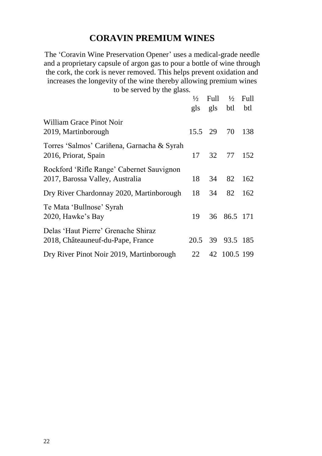# **CORAVIN PREMIUM WINES**

The 'Coravin Wine Preservation Opener' uses a medical-grade needle and a proprietary capsule of argon gas to pour a bottle of wine through the cork, the cork is never removed. This helps prevent oxidation and increases the longevity of the wine thereby allowing premium wines

to be served by the glass.

|                                                                              | $\frac{1}{2}$<br>gls | Full<br>gls | $\frac{1}{2}$<br>btl | Full<br>btl |
|------------------------------------------------------------------------------|----------------------|-------------|----------------------|-------------|
| William Grace Pinot Noir<br>2019, Martinborough                              | 15.5 29              |             | 70                   | 138         |
| Torres 'Salmos' Cariñena, Garnacha & Syrah<br>2016, Priorat, Spain           | 17                   | 32          | 77                   | 152         |
| Rockford 'Rifle Range' Cabernet Sauvignon<br>2017, Barossa Valley, Australia | 18                   | 34          | 82                   | 162         |
| Dry River Chardonnay 2020, Martinborough                                     | 18                   | 34          | 82                   | 162         |
| Te Mata 'Bullnose' Syrah<br>2020, Hawke's Bay                                | 19                   |             | 36 86.5 171          |             |
| Delas 'Haut Pierre' Grenache Shiraz<br>2018, Châteauneuf-du-Pape, France     |                      |             | 20.5 39 93.5 185     |             |
| Dry River Pinot Noir 2019, Martinborough                                     | 22                   |             | 42 100.5 199         |             |